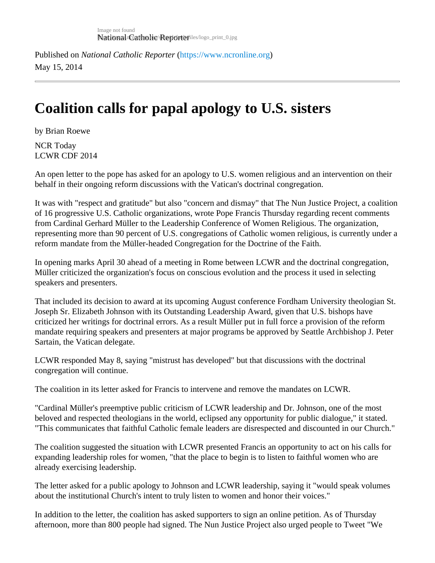Published on National Catholic Repo[r](https://www.ncronline.org)terhttps://www.ncronline.org May 15, 2014

## Coalition calls for papal apology to U.S. sisters

by Brian Roewe

NCR Today LCWR CDF 2014

An open letter to the pope has asked for an apology to U.S. women religious and an intervention on their behalf in their ongoing reform discussions with the Vatican's doctrinal congregation.

It was with "respect and gratitude" but also "concern and dismay" that The Nun Justice Project, a coalition of 16 progressive U.S. Catholic organizations, wrote Pope Francis Thursday regarding recent comments from Cardinal Gerhard Müller to the Leadership Conference of Women Religious. The organization, representing more than 90 percent of U.S. congregations of Catholic women religious, is currently under a reform mandate from the Müller-headed Congregation for the Doctrine of the Faith.

In opening marks April 30 ahead of a meeting in Rome between LCWR and the doctrinal congregation, Müller criticized the organization's focus on conscious evolution and the process it used in selecting speakers and presenters.

That included its decision to award at its upcoming August conference Fordham University theologian St. Joseph Sr. Elizabeth Johnson with its Outstanding Leadership Award, given that U.S. bishops have criticized her writings for doctrinal errors. As a result Müller put in full force a provision of the reform mandate requiring speakers and presenters at major programs be approved by Seattle Archbishop J. Pete Sartain, the Vatican delegate.

LCWR responded May 8, saying "mistrust has developed" but that discussions with the doctrinal congregation will continue.

The coalition in its letter asked for Francis to intervene and remove the mandates on LCWR.

"Cardinal Müller's preemptive public criticism of LCWR leadership and Dr. Johnson, one of the most beloved and respected theologians in the world, eclipsed any opportunity for public dialogue," it stated. "This communicates that faithful Catholic female leaders are disrespected and discounted in our Church."

The coalition suggested the situation with LCWR presented Francis an opportunity to act on his calls for expanding leadership roles for women, "that the place to begin is to listen to faithful women who are already exercising leadership.

The letter asked for a public apology to Johnson and LCWR leadership, saying it "would speak volumes about the institutional Church's intent to truly listen to women and honor their voices."

In addition to the letter, the coalition has asked supporters to sign an online petition. As of Thursday afternoon, more than 800 people had signed. The Nun Justice Project also urged people to Tweet "We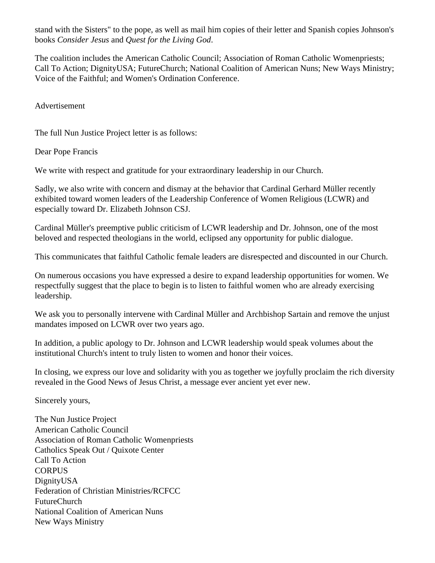stand with the Sisters" to the pope, as well as mail him copies of their letter and Spanish copies Johnson's books *Consider Jesus* and *Quest for the Living God*.

The coalition includes the American Catholic Council; Association of Roman Catholic Womenpriests; Call To Action; DignityUSA; FutureChurch; National Coalition of American Nuns; New Ways Ministry; Voice of the Faithful; and Women's Ordination Conference.

Advertisement

The full Nun Justice Project letter is as follows:

Dear Pope Francis

We write with respect and gratitude for your extraordinary leadership in our Church.

Sadly, we also write with concern and dismay at the behavior that Cardinal Gerhard Müller recently exhibited toward women leaders of the Leadership Conference of Women Religious (LCWR) and especially toward Dr. Elizabeth Johnson CSJ.

Cardinal Müller's preemptive public criticism of LCWR leadership and Dr. Johnson, one of the most beloved and respected theologians in the world, eclipsed any opportunity for public dialogue.

This communicates that faithful Catholic female leaders are disrespected and discounted in our Church.

On numerous occasions you have expressed a desire to expand leadership opportunities for women. We respectfully suggest that the place to begin is to listen to faithful women who are already exercising leadership.

We ask you to personally intervene with Cardinal Müller and Archbishop Sartain and remove the unjust mandates imposed on LCWR over two years ago.

In addition, a public apology to Dr. Johnson and LCWR leadership would speak volumes about the institutional Church's intent to truly listen to women and honor their voices.

In closing, we express our love and solidarity with you as together we joyfully proclaim the rich diversity revealed in the Good News of Jesus Christ, a message ever ancient yet ever new.

Sincerely yours,

The Nun Justice Project American Catholic Council Association of Roman Catholic Womenpriests Catholics Speak Out / Quixote Center Call To Action **CORPUS** DignityUSA Federation of Christian Ministries/RCFCC FutureChurch National Coalition of American Nuns New Ways Ministry